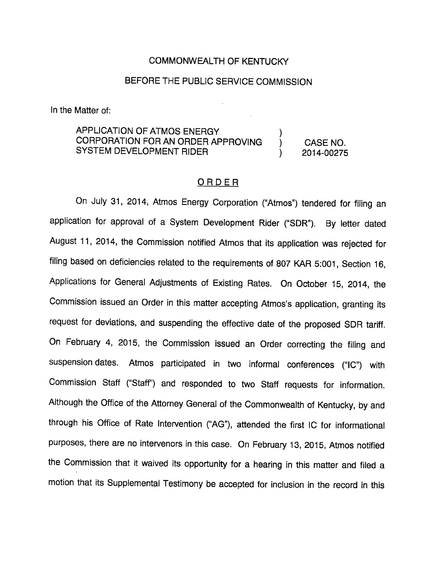#### COMMONWEALTH OF KENTUCKY

# BEFORE THE PUBLIC SERVICE COMMISSION

In the Matter of:

APPLICATION OF ATMOS ENERGY CORPORATION FOR AN ORDER APPROVING ) CASE NO. SYSTEM DEVELOPMENT RIDER (2014-00275)

# ORDER

On July 31, 2014, Atmos Energy Corporation ("Atmos") tendered for filing an application for approval of a System Development Rider ("SDR"). By letter dated August 11, 2014, the Commission notified Atmos that its application was rejected for filing based on deficiencies related to the requirements of 807 KAR 5:001, Section 16, Applications for General Adjustments of Existing Rates. On October 15, 2014, the Commission issued an Order in this matter accepting Atmos's application, granting its request for deviations, and suspending the effective date of the proposed SDR tariff. On February 4, 2015, the Commission issued an Order correcting the filing and suspension dates. Atmos participated in two informal conferences ("IC") with Commission Staff ("Staff) and responded to two Staff requests for information. Although the Office of the Attorney General of the Commonwealth of Kentucky, by and through his Office of Rate Intervention ("AG"), attended the first IC for informational purposes, there are no intervenors in this case. On February 13, 2015, Atmos notified the Commission that it waived its opportunity for a hearing in this matter and filed a motion that its Supplemental Testimony be accepted for inclusion in the record in this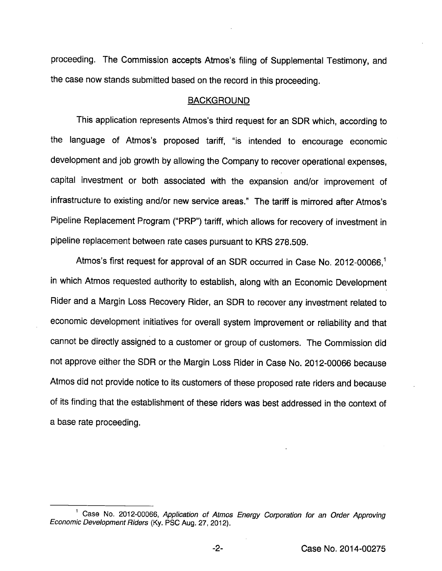proceeding. The Commission accepts Atmos's filing of Supplemental Testimony, and the case now stands submitted based on the record in this proceeding.

#### BACKGROUND

This application represents Atmos's third request for an SDR which, according to the language of Atmos's proposed tariff, "is intended to encourage economic development and job growth by allowing the Company to recover operational expenses, capital investment or both associated with the expansion and/or improvement of infrastructure to existing and/or new service areas." The tariff is mirrored after Atmos's Pipeline Replacement Program ("PRP") tariff, which allows for recovery of investment in pipeline replacement between rate cases pursuant to KRS 278.509.

Atmos's first request for approval of an SDR occurred in Case No. 2012-00066,<sup>1</sup> in which Atmos requested authority to establish, along with an Economic Development Rider and a Margin Loss Recovery Rider, an SDR to recover any investment related to economic development initiatives for overall system improvement or reliability and that cannot be directly assigned to a customer or group of customers. The Commission did not approve either the SDR or the Margin Loss Rider in Case No. 2012-00066 because Atmos did not provide notice to its customers of these proposed rate riders and because of its finding that the establishment of these riders was best addressed in the context of a base rate proceeding.

<sup>&</sup>lt;sup>1</sup> Case No. 2012-00066, Application of Atmos Energy Corporation for an Order Approving Economic Development Riders (Ky. PSC Aug. 27, 2012).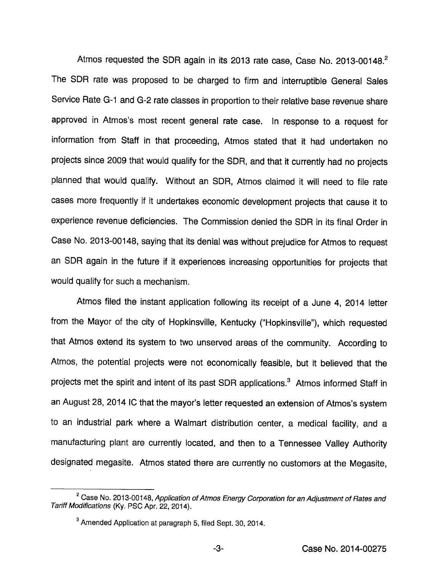Atmos requested the SDR again in its 2013 rate case, Case No. 2013-00148.<sup>2</sup> The SDR rate was proposed to be charged to firm and interruptibie Generai Sales Service Rate G-1 and G-2 rate classes in proportion to their relative base revenue share approved in Atmos's most recent generai rate case, in response to a request for information from Staff in that proceeding, Atmos stated that it had undertaken no projects since 2009 that would qualify for the SDR, and that it currently had no projects planned that would qualify. Without an SDR, Atmos claimed it will need to file rate cases more frequently if it undertakes economic development projects that cause it to experience revenue deficiencies. The Commission denied the SDR in its final Order in Case No. 2013-00148, saying that its denial was without prejudice for Atmos to request an SDR again in the future if it experiences increasing opportunities for projects that would qualify for such a mechanism.

Atmos filed the instant application following its receipt of a June 4, 2014 letter from the Mayor of the city of Hopkinsville, Kentucky ("Hopkinsville"), which requested that Atmos extend its system to two unserved areas of the community. According to Atmos, the potential projects were not economically feasible, but it believed that the projects met the spirit and intent of its past SDR applications.<sup>3</sup> Atmos informed Staff in an August 28, 2014 IC that the mayor's letter requested an extension of Atmos's system to an industrial park where a Walmart distribution center, a medical facility, and a manufacturing plant are currently located, and then to a Tennessee Valley Authority designated megasite. Atmos stated there are currently no customers at the Megasite,

 $2^2$  Case No. 2013-00148, Application of Atmos Energy Corporation for an Adjustment of Rates and Tariff Modifications (Ky. PSC Apr. 22, 2014).

<sup>®</sup>Amended Application at paragraph 5, filed Sept. 30, 2014.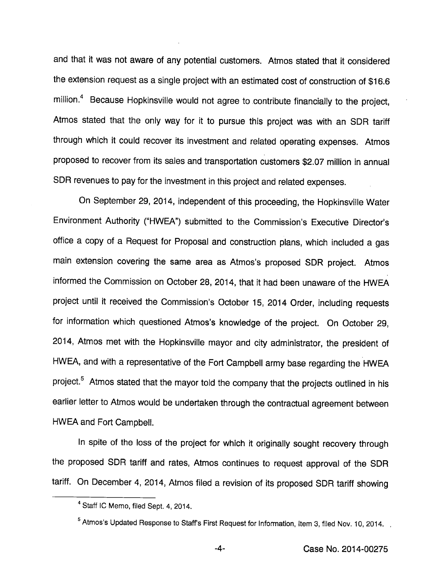and that it was not aware of any potential customers. Atmos stated that it considered the extension request as a single project with an estimated cost of construction of \$16.6 million.<sup>4</sup> Because Hopkinsville would not agree to contribute financially to the project, Atmos stated that the only way for it to pursue this project was with an SDR tariff through which it could recover its investment and related operating expenses. Atmos proposed to recover from its sales and transportation customers \$2.07 million in annual SDR revenues to pay for the investment in this project and related expenses.

On September 29, 2014, independent of this proceeding, the Hopkinsviile Water Environment Authority ("HWEA") submitted to the Commission's Executive Director's office a copy of a Request for Proposal and construction plans, which included a gas main extension covering the same area as Atmos's proposed SDR project. Atmos informed the Commission on October 28, 2014, that it had been unaware of the HWEA project until it received the Commission's October 15, 2014 Order, including requests for information which questioned Atmos's knowledge of the project. On October 29, 2014, Atmos met with the Hopkinsviile mayor and city administrator, the president of HWEA, and with a representative of the Fort Campbell army base regarding the HWEA project.<sup>5</sup> Atmos stated that the mayor told the company that the projects outlined in his earlier letter to Atmos would be undertaken through the contractual agreement between HWEA and Fort Campbell.

In spite of the loss of the project for which it originally sought recovery through the proposed SDR tariff and rates, Atmos continues to request approval of the SDR tariff. On December 4, 2014, Atmos filed a revision of its proposed SDR tariff showing

<sup>&</sup>lt;sup>4</sup> Staff IC Memo, filed Sept. 4, 2014.

<sup>&</sup>lt;sup>5</sup> Atmos's Updated Response to Staffs First Request for Information, Item 3, filed Nov. 10, 2014.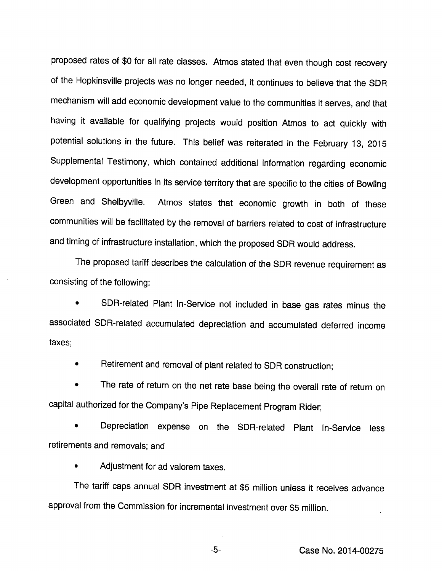proposed rates of \$0 for all rate classes. Atmos stated that even though cost recovery of the Hopkinsville projects was no longer needed, It continues to believe that the SDR mechanism will add economic development value to the communities it serves, and that having it available for qualifying projects would position Atmos to act quickly with potential solutions in the future. This belief was reiterated in the February 13, 2015 Supplemental Testimony, which contained additional information regarding economic development opportunities in its service territory that are specific to the cities of Bowling Green and Shelbyville. Atmos states that economic growth in both of these communities will be facilitated by the removal of barriers related to cost of infrastructure and timing of infrastructure installation, which the proposed SDR would address.

The proposed tariff describes the calculation of the SDR revenue requirement as consisting of the following:

• SDR-related Plant In-Service not included in base gas rates minus the associated SDR-related accumulated depreciation and accumulated deferred income taxes;

• Retirement and removal of plant related to SDR construction;

The rate of return on the net rate base being the overall rate of return on capital authorized for the Company's Pipe Replacement Program Rider;

• Depreciation expense on the SDR-related Plant In-Service less retirements and removals; and

• Adjustment for ad valorem taxes.

The tariff caps annual SDR investment at \$5 million unless it receives advance approval from the Commission for incremental investment over \$5 million.

-5- Case No. 2014-00275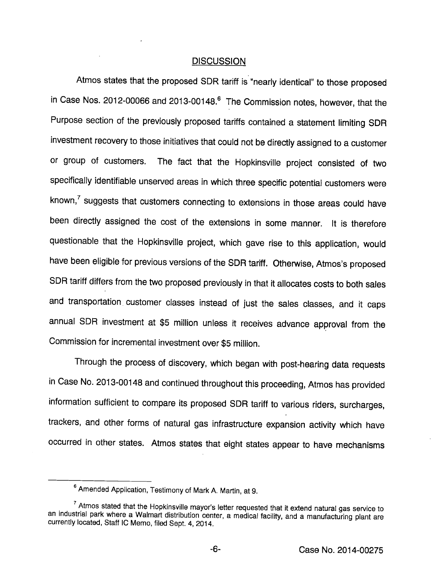### **DISCUSSION**

Atmos states that the proposed SDR tariff is "nearly identical" to those proposed in Case Nos. 2012-00066 and 2013-00148.® The Commission notes, however, that the Purpose section of the previously proposed tariffs contained a statement limiting SDR investment recovery to those initiatives that could not be directly assigned to a customer or group of customers. The fact that the Hopkinsville project consisted of two specifically identifiable unserved areas in which three specific potential customers were known, $7$  suggests that customers connecting to extensions in those areas could have been directly assigned the cost of the extensions in some manner. It is therefore questionable that the Hopkinsville project, which gave rise to this application, would have been eligible for previous versions of the SDR tariff. Otherwise, Atmos's proposed SDR tariff differs from the two proposed previously in that it allocates costs to both sales and transportation customer classes instead of just the sales classes, and it caps annual SDR investment at \$5 million unless it receives advance approval from the Commission for incremental investment over \$5 million.

Through the process of discovery, which began with post-hearing data requests in Case No. 2013-00148 and continued throughout this proceeding, Atmos has provided information sufficient to compare its proposed SDR tariff to various riders, surcharges, trackers, and other forms of natural gas infrastructure expansion activity which have occurred in other states. Atmos states that eight states appear to have mechanisms

<sup>&</sup>lt;sup>6</sup> Amended Application, Testimony of Mark A. Martin, at 9.

 $7$  Atmos stated that the Hopkinsville mayor's letter requested that it extend natural gas service to an industrial park where a Walmart distribution center, a medical facility, and a manufacturing plant are currently located, Staff IC Memo, filed Sept. 4, 2014.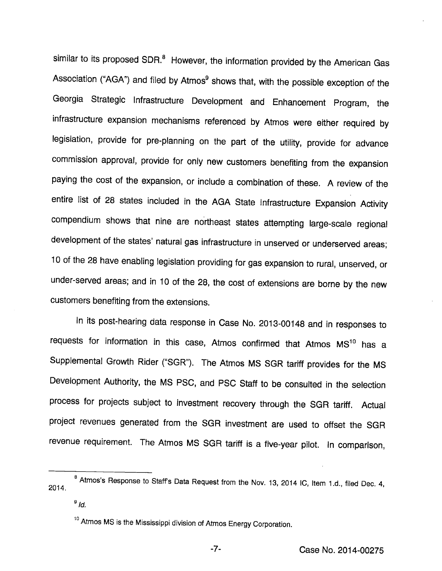similar to its proposed SDR.<sup>8</sup> However, the information provided by the American Gas Association ("AGA") and filed by Atmos<sup>9</sup> shows that, with the possible exception of the Georgia Strategic Infrastructure Development and Enhancement Program, the infrastructure expansion mechanisms referenced by Atmos were either required by legislation, provide for pre-planning on the part of the utility, provide for advance commission approval, provide for only new customers benefiting from the expansion paying the cost of the expansion, or include a combination of these. A review of the entire list of 28 states included in the AGA State Infrastructure Expansion Activity compendium shows that nine are northeast states attempting large-scale regional development of the states' natural gas infrastructure in unserved or underserved areas; 10 of the 28 have enabling legislation providing for gas expansion to rural, unserved, or under-served areas; and in 10 of the 28, the cost of extensions are borne by the new customers benefiting from the extensions.

In its post-hearing data response in Case No. 2013-00148 and in responses to requests for information in this case, Atmos confirmed that Atmos MS<sup>10</sup> has a Supplemental Growth Rider ("SGR"). The Atmos MS SGR tariff provides for the MS Development Authority, the MS PSC, and PSC Staff to be consulted in the selection process for projects subject to investment recovery through the SGR tariff. Actual project revenues generated from the SGR investment are used to offset the SGR revenue requirement. The Atmos MS SGR tariff is a five-year pilot. In comparison.

 $^8$  Atmos's Response to Staff's Data Request from the Nov. 13, 2014 IC, Item 1.d., filed Dec. 4, 2014.

 $9/d$ .

<sup>&</sup>lt;sup>10</sup> Atmos MS is the Mississippi division of Atmos Energy Corporation.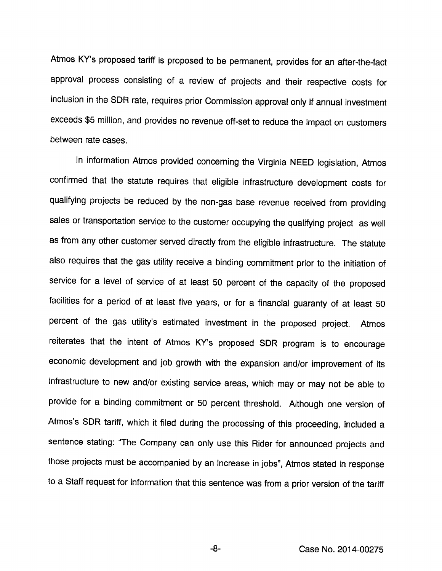Atmos KY's proposed tariff is proposed to be permanent, provides for an after-the-fact approval process consisting of a review of projects and their respective costs for inclusion in the SDR rate, requires prior Commission approval only if annual investment exceeds \$5 million, and provides no revenue off-set to reduce the impact on customers between rate cases.

In information Atmos provided concerning the Virginia NEED legislation, Atmos confirmed that the statute requires that eligible infrastructure development costs for qualifying projects be reduced by the non-gas base revenue received from providing sales or transportation service to the customer occupying the qualifying project as well as from any other customer served directly from the eligible infrastructure. The statute also requires that the gas utility receive a binding commitment prior to the initiation of service for a level of service of at least 50 percent of the capacity of the proposed facilities for a period of at least five years, or for a financial guaranty of at least 50 percent of the gas utility's estimated investment in the proposed project. Atmos reiterates that the intent of Atmos KY's proposed SDR program is to encourage economic development and job growth with the expansion and/or improvement of its infrastructure to new and/or existing service areas, which may or may not be able to provide for a binding commitment or 50 percent threshold. Although one version of Atmos's SDR tariff, which it filed during the processing of this proceeding, included a sentence stating: "The Company can only use this Rider for announced projects and those projects must be accompanied by an increase in jobs", Atmos stated in response to a Staff request for information that this sentence was from a prior version of the tariff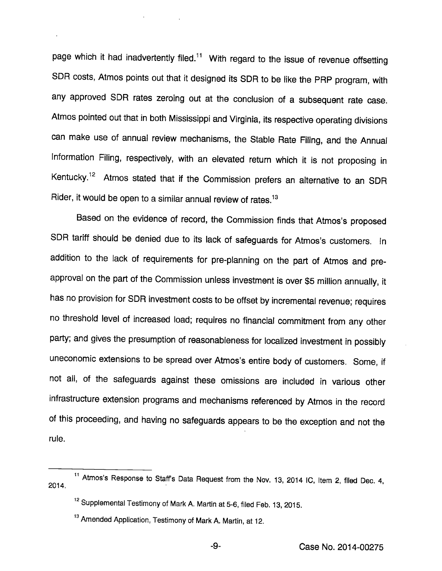page which it had inadvertently filed.<sup>11</sup> With regard to the issue of revenue offsetting SDR costs, Atmos points out that it designed its SDR to be like the PRP program, with any approved SDR rates zeroing out at the conclusion of a subsequent rate case. Atmos pointed out that in both Mississippi and Virginia, its respective operating divisions can make use of annual review mechanisms, the Stable Rate Filing, and the Annual Information Filing, respectively, with an elevated return which it is not proposing in Kentucky.<sup>12</sup> Atmos stated that if the Commission prefers an alternative to an SDR Rider, it would be open to a similar annual review of rates. $13$ 

Based on the evidence of record, the Commission finds that Atmos's proposed SDR tariff should be denied due to its lack of safeguards for Atmos's customers. In addition to the lack of requirements for pre-planning on the part of Atmos and preapproval on the part of the Commission unless investment is over \$5 million annually, it has no provision for SDR investment costs to be offset by incremental revenue; requires no threshold level of increased load; requires no financial commitment from any other party; and gives the presumption of reasonableness for localized investment in possibly uneconomic extensions to be spread over Atmos's entire body of customers. Some, If not all, of the safeguards against these omissions are included in various other infrastructure extension programs and mechanisms referenced by Atmos in the record of this proceeding, and having no safeguards appears to be the exception and not the rule.

<sup>&</sup>lt;sup>11</sup> Atmos's Response to Staff's Data Request from the Nov. 13, 2014 IC, Item 2, filed Dec. 4, 2014.

<sup>&</sup>lt;sup>12</sup> Supplemental Testimony of Mark A. Martin at 5-6, filed Feb. 13, 2015.

<sup>&</sup>lt;sup>13</sup> Amended Application, Testimony of Mark A. Martin, at 12.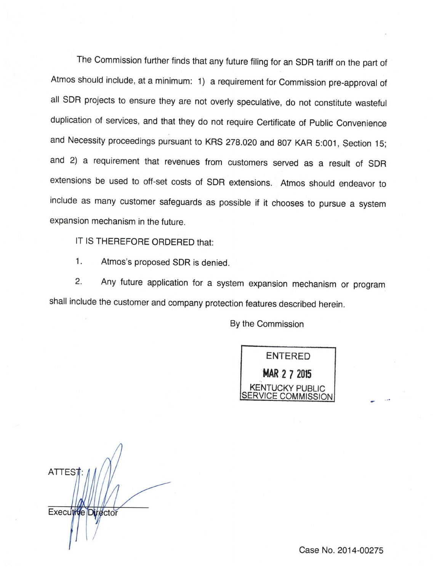The Commission further finds that any future filing for an SDR tariff on the part of Atmos should include, at a minimum: 1) a requirement for Commission pre-approval of all SDR projects to ensure they are not overly speculative, do not constitute wasteful duplication of services, and that they do not require Certificate of Public Convenience and Necessity proceedings pursuant to KRS 278.020 and 807 KAR 5:001, Section 15; and 2) a requirement that revenues from customers served as a result of SDR extensions be used to off-set costs of SDR extensions. Atmos should endeavor to include as many customer safeguards as possible if it chooses to pursue a system expansion mechanism in the future.

IT IS THEREFORE ORDERED that:

1. Atmos's proposed SDR is denied.

2. Any future application for a system expansion mechanism or program shall include the customer and company protection features described herein.

By the Commission

ENTERED MAR 2 7 2015 **ITUCKY PUBLIC** SERVICE COMMISSION

**ATTEST** Executive Director